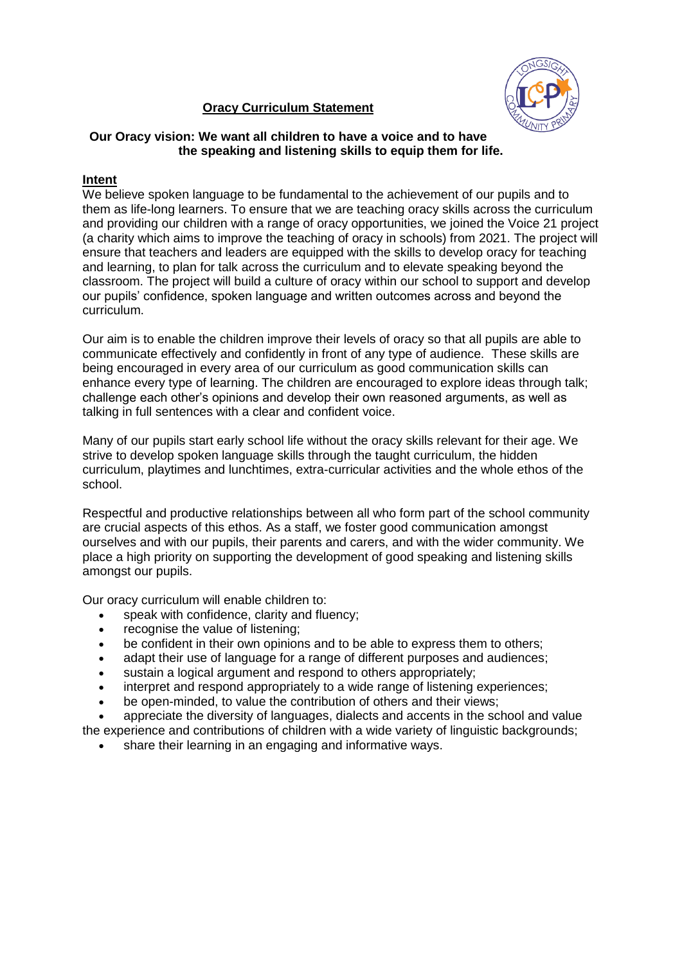## **Oracy Curriculum Statement**



### **Our Oracy vision: We want all children to have a voice and to have the speaking and listening skills to equip them for life.**

# **Intent**

We believe spoken language to be fundamental to the achievement of our pupils and to them as life-long learners. To ensure that we are teaching oracy skills across the curriculum and providing our children with a range of oracy opportunities, we joined the Voice 21 project (a charity which aims to improve the teaching of oracy in schools) from 2021. The project will ensure that teachers and leaders are equipped with the skills to develop oracy for teaching and learning, to plan for talk across the curriculum and to elevate speaking beyond the classroom. The project will build a culture of oracy within our school to support and develop our pupils' confidence, spoken language and written outcomes across and beyond the curriculum.

Our aim is to enable the children improve their levels of oracy so that all pupils are able to communicate effectively and confidently in front of any type of audience. These skills are being encouraged in every area of our curriculum as good communication skills can enhance every type of learning. The children are encouraged to explore ideas through talk; challenge each other's opinions and develop their own reasoned arguments, as well as talking in full sentences with a clear and confident voice.

Many of our pupils start early school life without the oracy skills relevant for their age. We strive to develop spoken language skills through the taught curriculum, the hidden curriculum, playtimes and lunchtimes, extra-curricular activities and the whole ethos of the school.

Respectful and productive relationships between all who form part of the school community are crucial aspects of this ethos. As a staff, we foster good communication amongst ourselves and with our pupils, their parents and carers, and with the wider community. We place a high priority on supporting the development of good speaking and listening skills amongst our pupils.

Our oracy curriculum will enable children to:

- speak with confidence, clarity and fluency;
- recognise the value of listening;
- be confident in their own opinions and to be able to express them to others;
- adapt their use of language for a range of different purposes and audiences;
- sustain a logical argument and respond to others appropriately;
- interpret and respond appropriately to a wide range of listening experiences;
- be open-minded, to value the contribution of others and their views;

 appreciate the diversity of languages, dialects and accents in the school and value the experience and contributions of children with a wide variety of linguistic backgrounds;

share their learning in an engaging and informative ways.